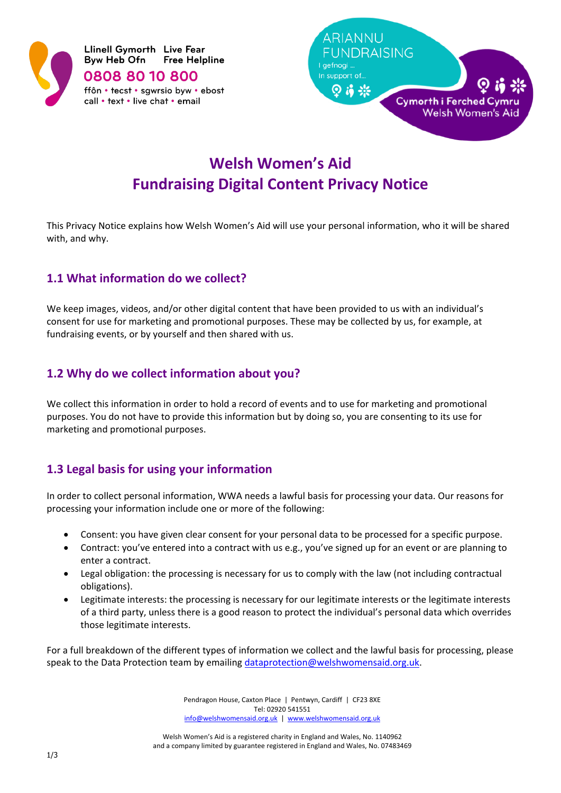



# **Welsh Women's Aid Fundraising Digital Content Privacy Notice**

This Privacy Notice explains how Welsh Women's Aid will use your personal information, who it will be shared with, and why.

## **1.1 What information do we collect?**

We keep images, videos, and/or other digital content that have been provided to us with an individual's consent for use for marketing and promotional purposes. These may be collected by us, for example, at fundraising events, or by yourself and then shared with us.

## **1.2 Why do we collect information about you?**

We collect this information in order to hold a record of events and to use for marketing and promotional purposes. You do not have to provide this information but by doing so, you are consenting to its use for marketing and promotional purposes.

# **1.3 Legal basis for using your information**

In order to collect personal information, WWA needs a lawful basis for processing your data. Our reasons for processing your information include one or more of the following:

- Consent: you have given clear consent for your personal data to be processed for a specific purpose.
- Contract: you've entered into a contract with us e.g., you've signed up for an event or are planning to enter a contract.
- Legal obligation: the processing is necessary for us to comply with the law (not including contractual obligations).
- Legitimate interests: the processing is necessary for our legitimate interests or the legitimate interests of a third party, unless there is a good reason to protect the individual's personal data which overrides those legitimate interests.

For a full breakdown of the different types of information we collect and the lawful basis for processing, please speak to the Data Protection team by emailin[g dataprotection@welshwomensaid.org.uk.](mailto:dataprotection@welshwomensaid.org.uk)

> Pendragon House, Caxton Place | Pentwyn, Cardiff | CF23 8XE Tel: 02920 541551 [info@welshwomensaid.org.uk](mailto:info@welshwomensaid.org.uk) | [www.welshwomensaid.org.uk](http://www.welshwomensaid.org.uk/)

Welsh Women's Aid is a registered charity in England and Wales, No. 1140962 and a company limited by guarantee registered in England and Wales, No. 07483469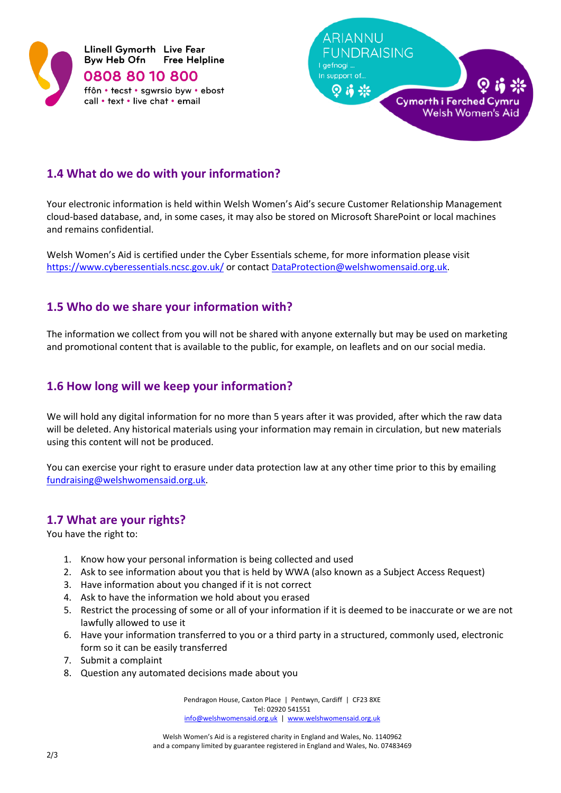



# **1.4 What do we do with your information?**

Your electronic information is held within Welsh Women's Aid's secure Customer Relationship Management cloud-based database, and, in some cases, it may also be stored on Microsoft SharePoint or local machines and remains confidential.

Welsh Women's Aid is certified under the Cyber Essentials scheme, for more information please visit <https://www.cyberessentials.ncsc.gov.uk/> or contact [DataProtection@welshwomensaid.org.uk.](mailto:DataProtection@welshwomensaid.org.uk)

## **1.5 Who do we share your information with?**

The information we collect from you will not be shared with anyone externally but may be used on marketing and promotional content that is available to the public, for example, on leaflets and on our social media.

### **1.6 How long will we keep your information?**

We will hold any digital information for no more than 5 years after it was provided, after which the raw data will be deleted. Any historical materials using your information may remain in circulation, but new materials using this content will not be produced.

You can exercise your right to erasure under data protection law at any other time prior to this by emailing [fundraising@welshwomensaid.org.uk.](mailto:fundraising@welshwomensaid.org.uk)

#### **1.7 What are your rights?**

You have the right to:

- 1. Know how your personal information is being collected and used
- 2. Ask to see information about you that is held by WWA (also known as a Subject Access Request)
- 3. Have information about you changed if it is not correct
- 4. Ask to have the information we hold about you erased
- 5. Restrict the processing of some or all of your information if it is deemed to be inaccurate or we are not lawfully allowed to use it
- 6. Have your information transferred to you or a third party in a structured, commonly used, electronic form so it can be easily transferred
- 7. Submit a complaint
- 8. Question any automated decisions made about you

Pendragon House, Caxton Place | Pentwyn, Cardiff | CF23 8XE Tel: 02920 541551 [info@welshwomensaid.org.uk](mailto:info@welshwomensaid.org.uk) | [www.welshwomensaid.org.uk](http://www.welshwomensaid.org.uk/)

Welsh Women's Aid is a registered charity in England and Wales, No. 1140962 and a company limited by guarantee registered in England and Wales, No. 07483469